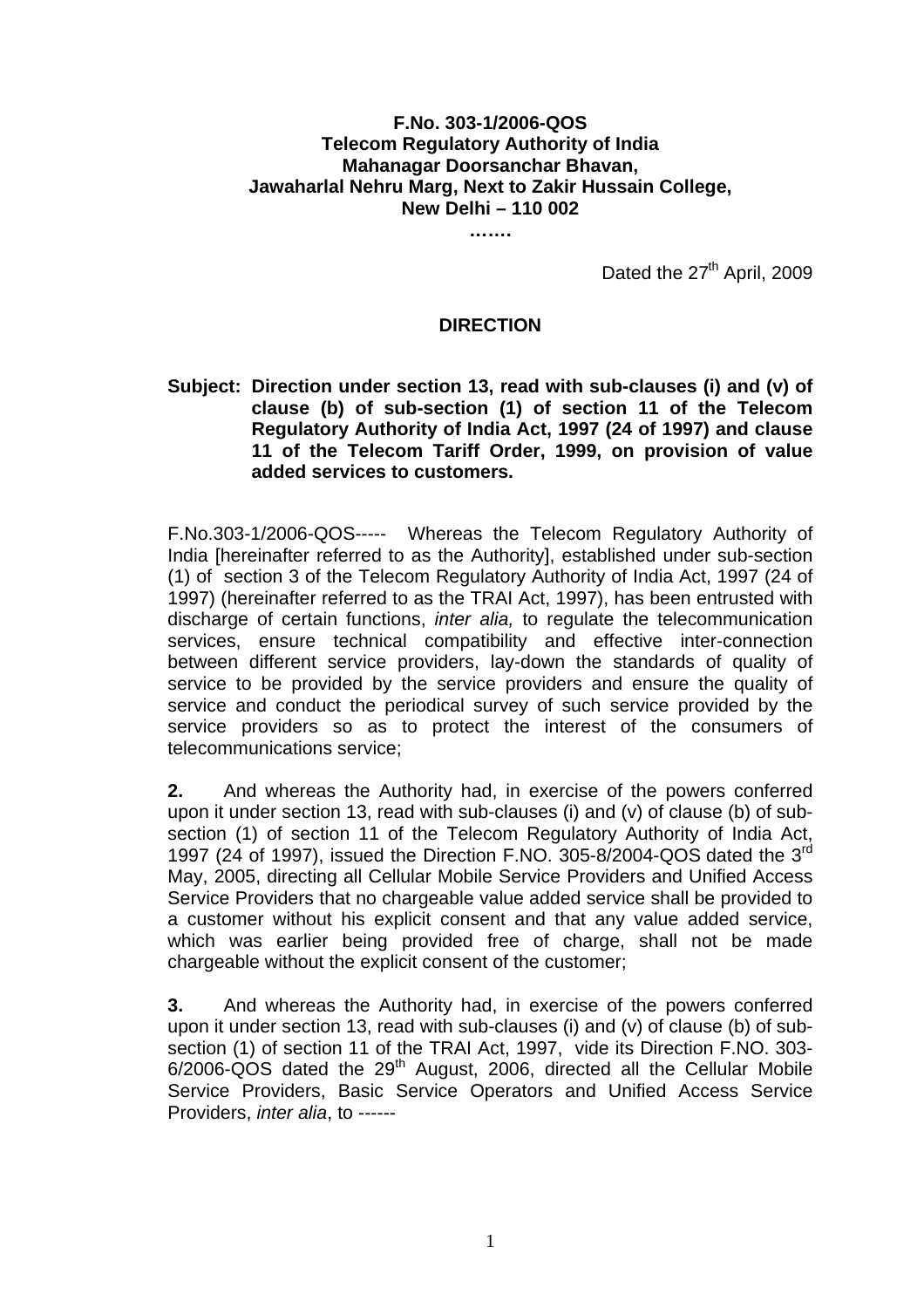## **F.No. 303-1/2006-QOS Telecom Regulatory Authority of India Mahanagar Doorsanchar Bhavan, Jawaharlal Nehru Marg, Next to Zakir Hussain College, New Delhi – 110 002**

**…….** 

Dated the 27<sup>th</sup> April, 2009

## **DIRECTION**

## **Subject: Direction under section 13, read with sub-clauses (i) and (v) of clause (b) of sub-section (1) of section 11 of the Telecom Regulatory Authority of India Act, 1997 (24 of 1997) and clause 11 of the Telecom Tariff Order, 1999, on provision of value added services to customers.**

F.No.303-1/2006-QOS----- Whereas the Telecom Regulatory Authority of India [hereinafter referred to as the Authority], established under sub-section (1) of section 3 of the Telecom Regulatory Authority of India Act, 1997 (24 of 1997) (hereinafter referred to as the TRAI Act, 1997), has been entrusted with discharge of certain functions, *inter alia,* to regulate the telecommunication services, ensure technical compatibility and effective inter-connection between different service providers, lay-down the standards of quality of service to be provided by the service providers and ensure the quality of service and conduct the periodical survey of such service provided by the service providers so as to protect the interest of the consumers of telecommunications service;

**2.** And whereas the Authority had, in exercise of the powers conferred upon it under section 13, read with sub-clauses (i) and (v) of clause (b) of subsection (1) of section 11 of the Telecom Regulatory Authority of India Act, 1997 (24 of 1997), issued the Direction F.NO. 305-8/2004-QOS dated the 3<sup>rd</sup> May, 2005, directing all Cellular Mobile Service Providers and Unified Access Service Providers that no chargeable value added service shall be provided to a customer without his explicit consent and that any value added service, which was earlier being provided free of charge, shall not be made chargeable without the explicit consent of the customer;

**3.** And whereas the Authority had, in exercise of the powers conferred upon it under section 13, read with sub-clauses (i) and (v) of clause (b) of subsection (1) of section 11 of the TRAI Act, 1997, vide its Direction F.NO. 303-  $6/2006-\overline{QOS}$  dated the  $29<sup>th</sup>$  August, 2006, directed all the Cellular Mobile Service Providers, Basic Service Operators and Unified Access Service Providers, *inter alia*, to ------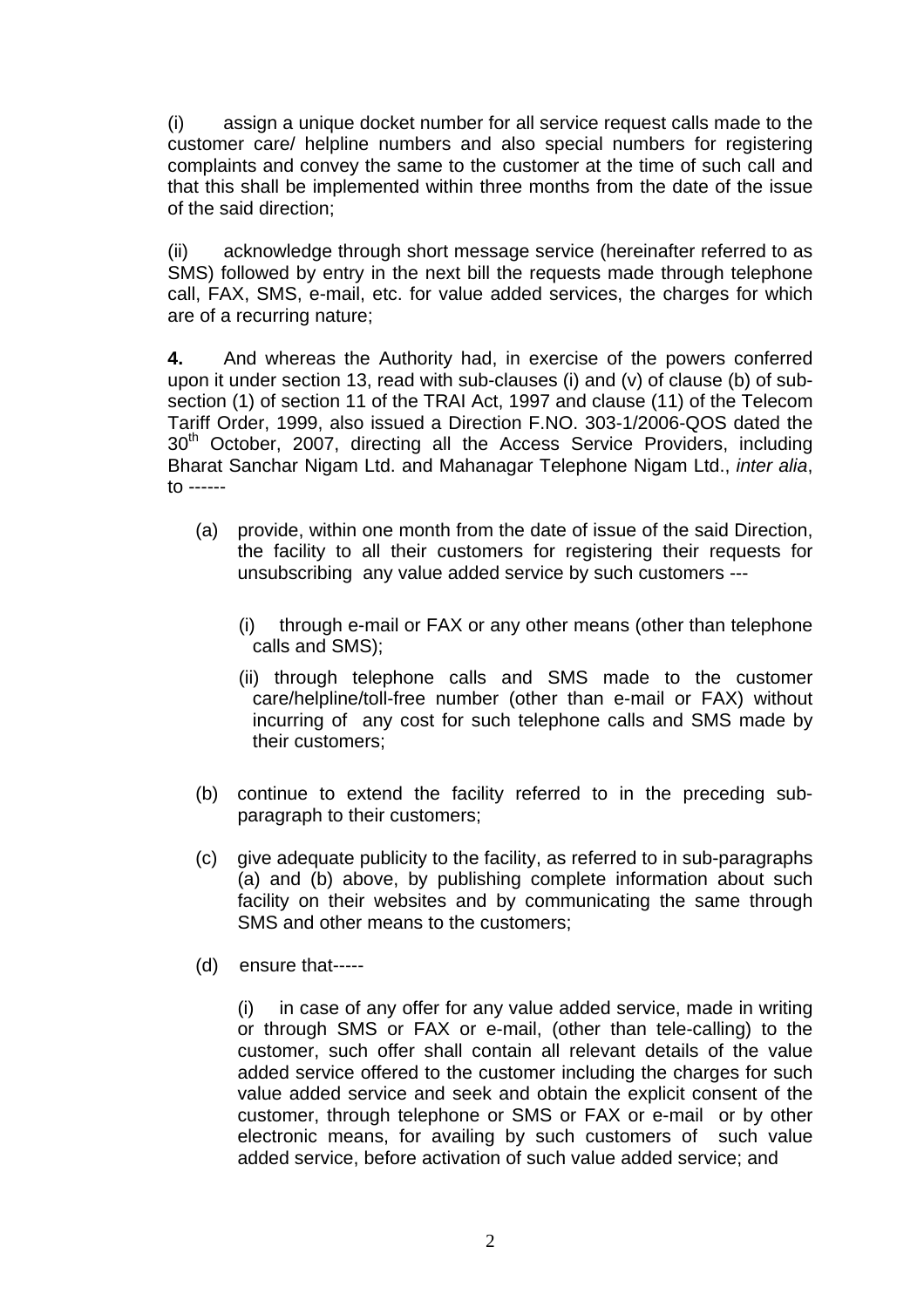(i) assign a unique docket number for all service request calls made to the customer care/ helpline numbers and also special numbers for registering complaints and convey the same to the customer at the time of such call and that this shall be implemented within three months from the date of the issue of the said direction;

(ii) acknowledge through short message service (hereinafter referred to as SMS) followed by entry in the next bill the requests made through telephone call, FAX, SMS, e-mail, etc. for value added services, the charges for which are of a recurring nature;

**4.** And whereas the Authority had, in exercise of the powers conferred upon it under section 13, read with sub-clauses (i) and (v) of clause (b) of subsection (1) of section 11 of the TRAI Act, 1997 and clause (11) of the Telecom Tariff Order, 1999, also issued a Direction F.NO. 303-1/2006-QOS dated the 30<sup>th</sup> October, 2007, directing all the Access Service Providers, including Bharat Sanchar Nigam Ltd. and Mahanagar Telephone Nigam Ltd., *inter alia*, to ------

- (a) provide, within one month from the date of issue of the said Direction, the facility to all their customers for registering their requests for unsubscribing any value added service by such customers ---
	- (i) through e-mail or FAX or any other means (other than telephone calls and SMS);
	- (ii) through telephone calls and SMS made to the customer care/helpline/toll-free number (other than e-mail or FAX) without incurring of any cost for such telephone calls and SMS made by their customers;
- (b) continue to extend the facility referred to in the preceding subparagraph to their customers;
- (c) give adequate publicity to the facility, as referred to in sub-paragraphs (a) and (b) above, by publishing complete information about such facility on their websites and by communicating the same through SMS and other means to the customers;
- (d) ensure that-----

(i) in case of any offer for any value added service, made in writing or through SMS or FAX or e-mail, (other than tele-calling) to the customer, such offer shall contain all relevant details of the value added service offered to the customer including the charges for such value added service and seek and obtain the explicit consent of the customer, through telephone or SMS or FAX or e-mail or by other electronic means, for availing by such customers of such value added service, before activation of such value added service; and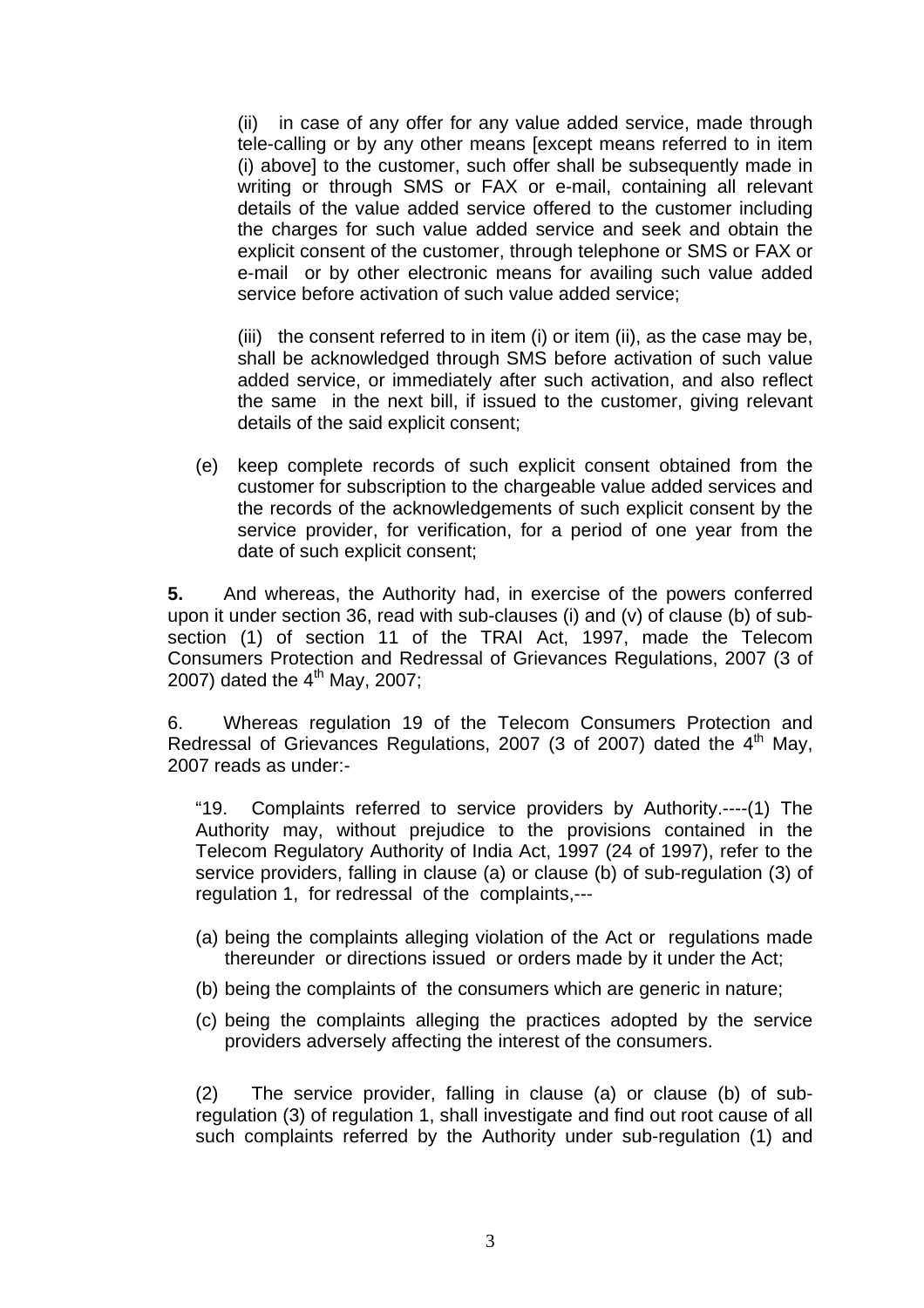(ii) in case of any offer for any value added service, made through tele-calling or by any other means [except means referred to in item (i) above] to the customer, such offer shall be subsequently made in writing or through SMS or FAX or e-mail, containing all relevant details of the value added service offered to the customer including the charges for such value added service and seek and obtain the explicit consent of the customer, through telephone or SMS or FAX or e-mail or by other electronic means for availing such value added service before activation of such value added service;

(iii) the consent referred to in item (i) or item (ii), as the case may be, shall be acknowledged through SMS before activation of such value added service, or immediately after such activation, and also reflect the same in the next bill, if issued to the customer, giving relevant details of the said explicit consent;

(e) keep complete records of such explicit consent obtained from the customer for subscription to the chargeable value added services and the records of the acknowledgements of such explicit consent by the service provider, for verification, for a period of one year from the date of such explicit consent;

**5.** And whereas, the Authority had, in exercise of the powers conferred upon it under section 36, read with sub-clauses (i) and (v) of clause (b) of subsection (1) of section 11 of the TRAI Act, 1997, made the Telecom Consumers Protection and Redressal of Grievances Regulations, 2007 (3 of 2007) dated the  $4<sup>th</sup>$  May, 2007;

6. Whereas regulation 19 of the Telecom Consumers Protection and Redressal of Grievances Regulations, 2007 (3 of 2007) dated the  $4<sup>th</sup>$  May, 2007 reads as under:-

"19. Complaints referred to service providers by Authority.----(1) The Authority may, without prejudice to the provisions contained in the Telecom Regulatory Authority of India Act, 1997 (24 of 1997), refer to the service providers, falling in clause (a) or clause (b) of sub-regulation (3) of regulation 1, for redressal of the complaints,---

- (a) being the complaints alleging violation of the Act or regulations made thereunder or directions issued or orders made by it under the Act;
- (b) being the complaints of the consumers which are generic in nature;
- (c) being the complaints alleging the practices adopted by the service providers adversely affecting the interest of the consumers.

(2) The service provider, falling in clause (a) or clause (b) of subregulation (3) of regulation 1, shall investigate and find out root cause of all such complaints referred by the Authority under sub-regulation (1) and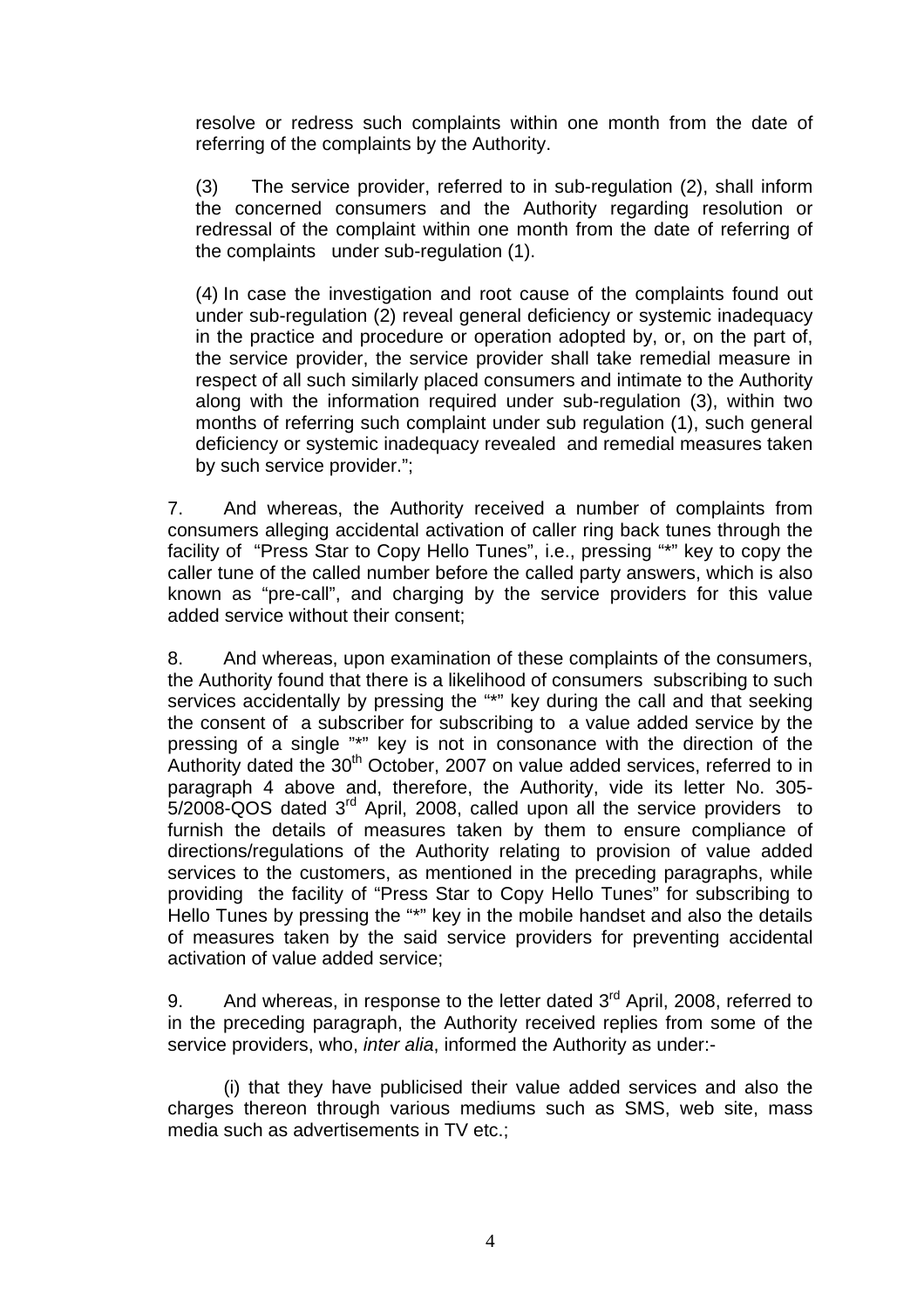resolve or redress such complaints within one month from the date of referring of the complaints by the Authority.

(3) The service provider, referred to in sub-regulation (2), shall inform the concerned consumers and the Authority regarding resolution or redressal of the complaint within one month from the date of referring of the complaints under sub-regulation (1).

(4) In case the investigation and root cause of the complaints found out under sub-regulation (2) reveal general deficiency or systemic inadequacy in the practice and procedure or operation adopted by, or, on the part of, the service provider, the service provider shall take remedial measure in respect of all such similarly placed consumers and intimate to the Authority along with the information required under sub-regulation (3), within two months of referring such complaint under sub regulation (1), such general deficiency or systemic inadequacy revealed and remedial measures taken by such service provider.";

7. And whereas, the Authority received a number of complaints from consumers alleging accidental activation of caller ring back tunes through the facility of "Press Star to Copy Hello Tunes", i.e., pressing "\*" key to copy the caller tune of the called number before the called party answers, which is also known as "pre-call", and charging by the service providers for this value added service without their consent;

8. And whereas, upon examination of these complaints of the consumers, the Authority found that there is a likelihood of consumers subscribing to such services accidentally by pressing the "\*" key during the call and that seeking the consent of a subscriber for subscribing to a value added service by the pressing of a single "\*" key is not in consonance with the direction of the Authority dated the  $30<sup>th</sup>$  October, 2007 on value added services, referred to in paragraph 4 above and, therefore, the Authority, vide its letter No. 305- 5/2008-QOS dated 3rd April, 2008, called upon all the service providers to furnish the details of measures taken by them to ensure compliance of directions/regulations of the Authority relating to provision of value added services to the customers, as mentioned in the preceding paragraphs, while providing the facility of "Press Star to Copy Hello Tunes" for subscribing to Hello Tunes by pressing the "\*" key in the mobile handset and also the details of measures taken by the said service providers for preventing accidental activation of value added service;

9. And whereas, in response to the letter dated  $3<sup>rd</sup>$  April, 2008, referred to in the preceding paragraph, the Authority received replies from some of the service providers, who, *inter alia*, informed the Authority as under:-

(i) that they have publicised their value added services and also the charges thereon through various mediums such as SMS, web site, mass media such as advertisements in TV etc.;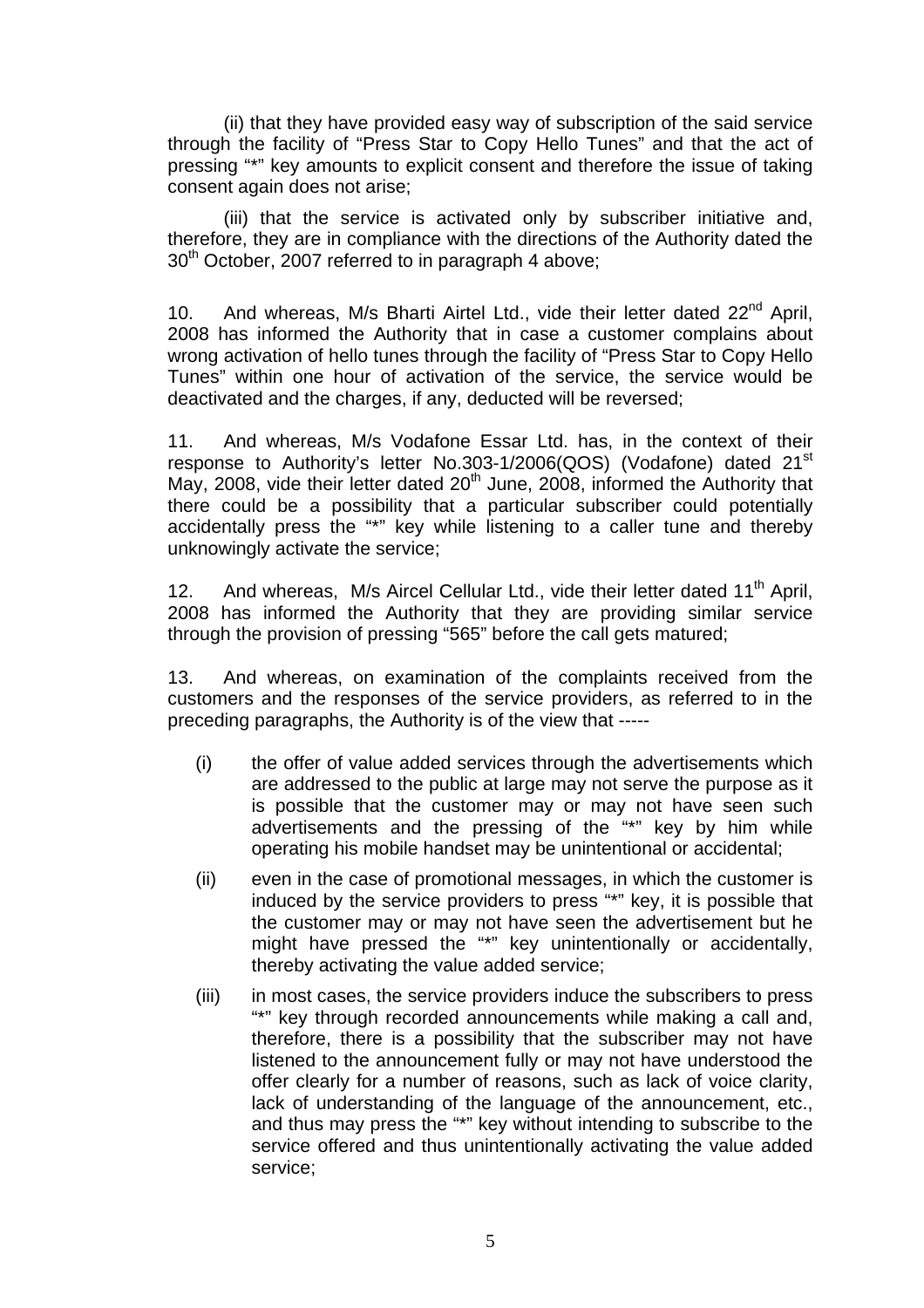(ii) that they have provided easy way of subscription of the said service through the facility of "Press Star to Copy Hello Tunes" and that the act of pressing "\*" key amounts to explicit consent and therefore the issue of taking consent again does not arise;

(iii) that the service is activated only by subscriber initiative and, therefore, they are in compliance with the directions of the Authority dated the 30<sup>th</sup> October, 2007 referred to in paragraph 4 above:

10. And whereas, M/s Bharti Airtel Ltd., vide their letter dated  $22^{nd}$  April, 2008 has informed the Authority that in case a customer complains about wrong activation of hello tunes through the facility of "Press Star to Copy Hello Tunes" within one hour of activation of the service, the service would be deactivated and the charges, if any, deducted will be reversed;

11. And whereas, M/s Vodafone Essar Ltd. has, in the context of their response to Authority's letter No.303-1/2006(QOS) (Vodafone) dated 21<sup>st</sup> May, 2008, vide their letter dated  $20<sup>th</sup>$  June, 2008, informed the Authority that there could be a possibility that a particular subscriber could potentially accidentally press the "\*" key while listening to a caller tune and thereby unknowingly activate the service;

12. And whereas, M/s Aircel Cellular Ltd., vide their letter dated 11<sup>th</sup> April, 2008 has informed the Authority that they are providing similar service through the provision of pressing "565" before the call gets matured;

13. And whereas, on examination of the complaints received from the customers and the responses of the service providers, as referred to in the preceding paragraphs, the Authority is of the view that -----

- (i) the offer of value added services through the advertisements which are addressed to the public at large may not serve the purpose as it is possible that the customer may or may not have seen such advertisements and the pressing of the "\*" key by him while operating his mobile handset may be unintentional or accidental;
- (ii) even in the case of promotional messages, in which the customer is induced by the service providers to press "\*" key, it is possible that the customer may or may not have seen the advertisement but he might have pressed the "\*" key unintentionally or accidentally, thereby activating the value added service;
- (iii) in most cases, the service providers induce the subscribers to press "\*" key through recorded announcements while making a call and, therefore, there is a possibility that the subscriber may not have listened to the announcement fully or may not have understood the offer clearly for a number of reasons, such as lack of voice clarity, lack of understanding of the language of the announcement, etc., and thus may press the "\*" key without intending to subscribe to the service offered and thus unintentionally activating the value added service;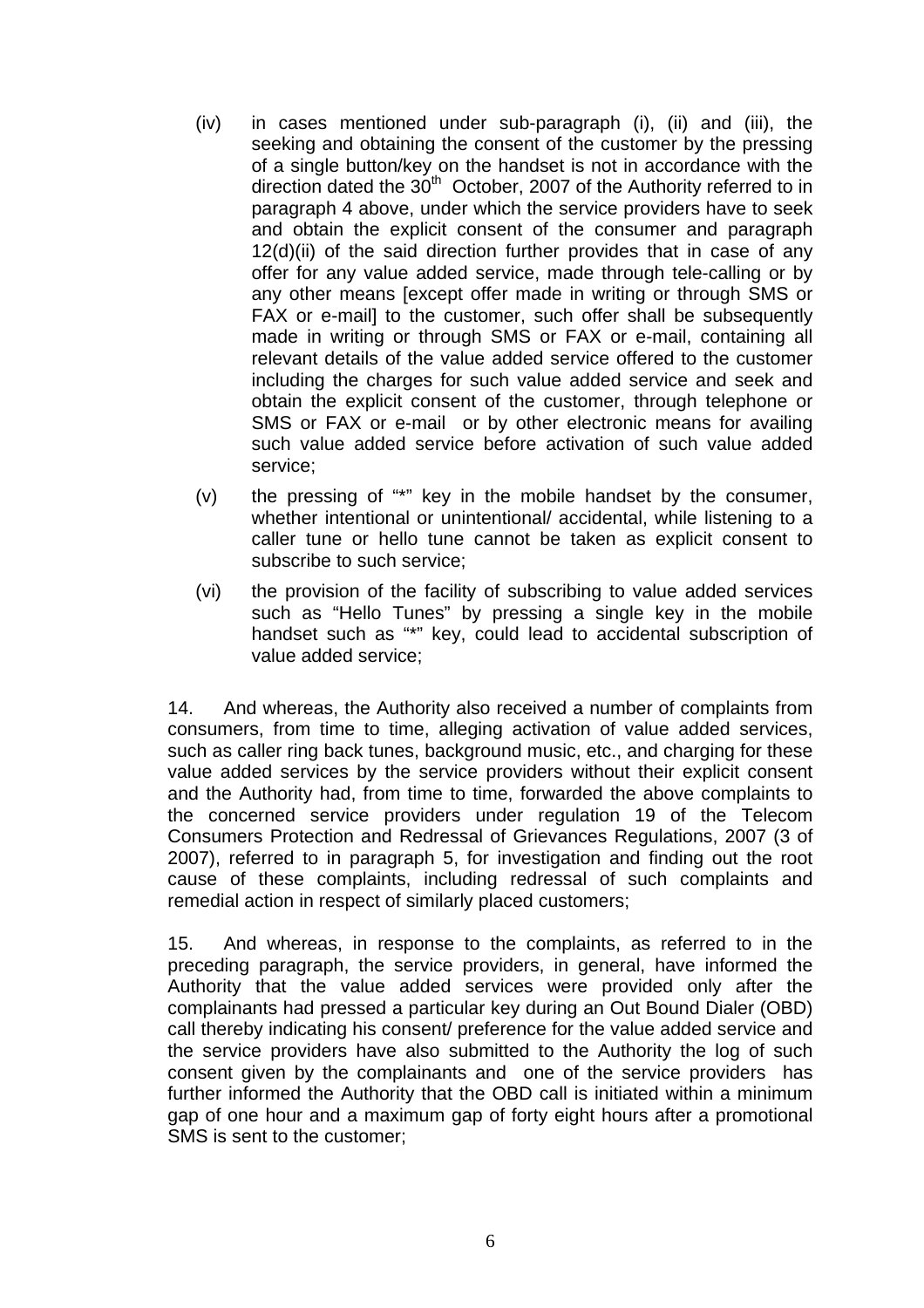- (iv) in cases mentioned under sub-paragraph (i), (ii) and (iii), the seeking and obtaining the consent of the customer by the pressing of a single button/key on the handset is not in accordance with the direction dated the  $30<sup>th</sup>$  October, 2007 of the Authority referred to in paragraph 4 above, under which the service providers have to seek and obtain the explicit consent of the consumer and paragraph 12(d)(ii) of the said direction further provides that in case of any offer for any value added service, made through tele-calling or by any other means [except offer made in writing or through SMS or FAX or e-maill to the customer, such offer shall be subsequently made in writing or through SMS or FAX or e-mail, containing all relevant details of the value added service offered to the customer including the charges for such value added service and seek and obtain the explicit consent of the customer, through telephone or SMS or FAX or e-mail or by other electronic means for availing such value added service before activation of such value added service;
- (v) the pressing of "\*" key in the mobile handset by the consumer, whether intentional or unintentional/ accidental, while listening to a caller tune or hello tune cannot be taken as explicit consent to subscribe to such service;
- (vi) the provision of the facility of subscribing to value added services such as "Hello Tunes" by pressing a single key in the mobile handset such as "\*" key, could lead to accidental subscription of value added service;

14. And whereas, the Authority also received a number of complaints from consumers, from time to time, alleging activation of value added services, such as caller ring back tunes, background music, etc., and charging for these value added services by the service providers without their explicit consent and the Authority had, from time to time, forwarded the above complaints to the concerned service providers under regulation 19 of the Telecom Consumers Protection and Redressal of Grievances Regulations, 2007 (3 of 2007), referred to in paragraph 5, for investigation and finding out the root cause of these complaints, including redressal of such complaints and remedial action in respect of similarly placed customers;

15. And whereas, in response to the complaints, as referred to in the preceding paragraph, the service providers, in general, have informed the Authority that the value added services were provided only after the complainants had pressed a particular key during an Out Bound Dialer (OBD) call thereby indicating his consent/ preference for the value added service and the service providers have also submitted to the Authority the log of such consent given by the complainants and one of the service providers has further informed the Authority that the OBD call is initiated within a minimum gap of one hour and a maximum gap of forty eight hours after a promotional SMS is sent to the customer;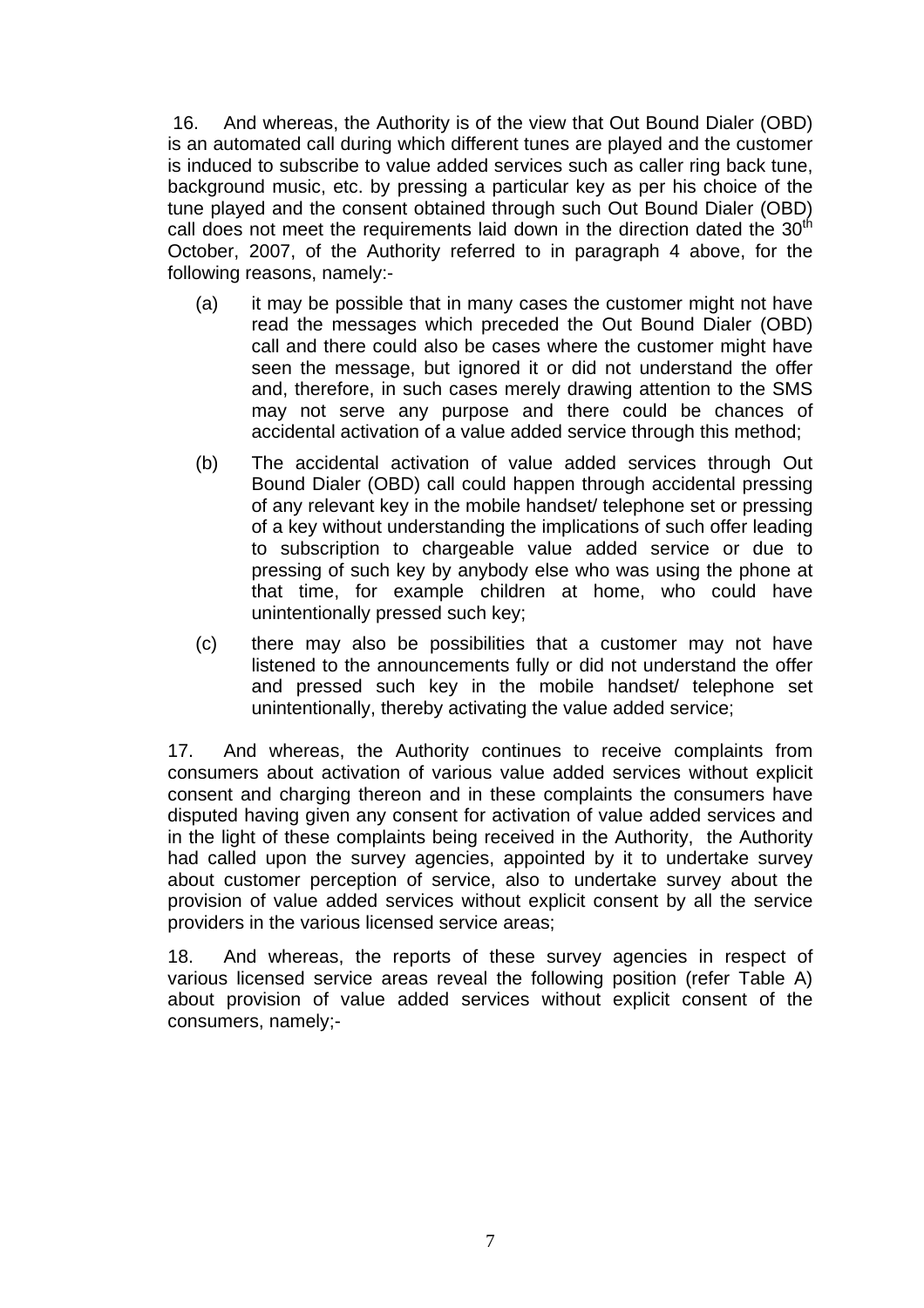16. And whereas, the Authority is of the view that Out Bound Dialer (OBD) is an automated call during which different tunes are played and the customer is induced to subscribe to value added services such as caller ring back tune, background music, etc. by pressing a particular key as per his choice of the tune played and the consent obtained through such Out Bound Dialer (OBD) call does not meet the requirements laid down in the direction dated the  $30<sup>th</sup>$ October, 2007, of the Authority referred to in paragraph 4 above, for the following reasons, namely:-

- (a) it may be possible that in many cases the customer might not have read the messages which preceded the Out Bound Dialer (OBD) call and there could also be cases where the customer might have seen the message, but ignored it or did not understand the offer and, therefore, in such cases merely drawing attention to the SMS may not serve any purpose and there could be chances of accidental activation of a value added service through this method;
- (b) The accidental activation of value added services through Out Bound Dialer (OBD) call could happen through accidental pressing of any relevant key in the mobile handset/ telephone set or pressing of a key without understanding the implications of such offer leading to subscription to chargeable value added service or due to pressing of such key by anybody else who was using the phone at that time, for example children at home, who could have unintentionally pressed such key;
- (c) there may also be possibilities that a customer may not have listened to the announcements fully or did not understand the offer and pressed such key in the mobile handset/ telephone set unintentionally, thereby activating the value added service;

17. And whereas, the Authority continues to receive complaints from consumers about activation of various value added services without explicit consent and charging thereon and in these complaints the consumers have disputed having given any consent for activation of value added services and in the light of these complaints being received in the Authority, the Authority had called upon the survey agencies, appointed by it to undertake survey about customer perception of service, also to undertake survey about the provision of value added services without explicit consent by all the service providers in the various licensed service areas;

18. And whereas, the reports of these survey agencies in respect of various licensed service areas reveal the following position (refer Table A) about provision of value added services without explicit consent of the consumers, namely;-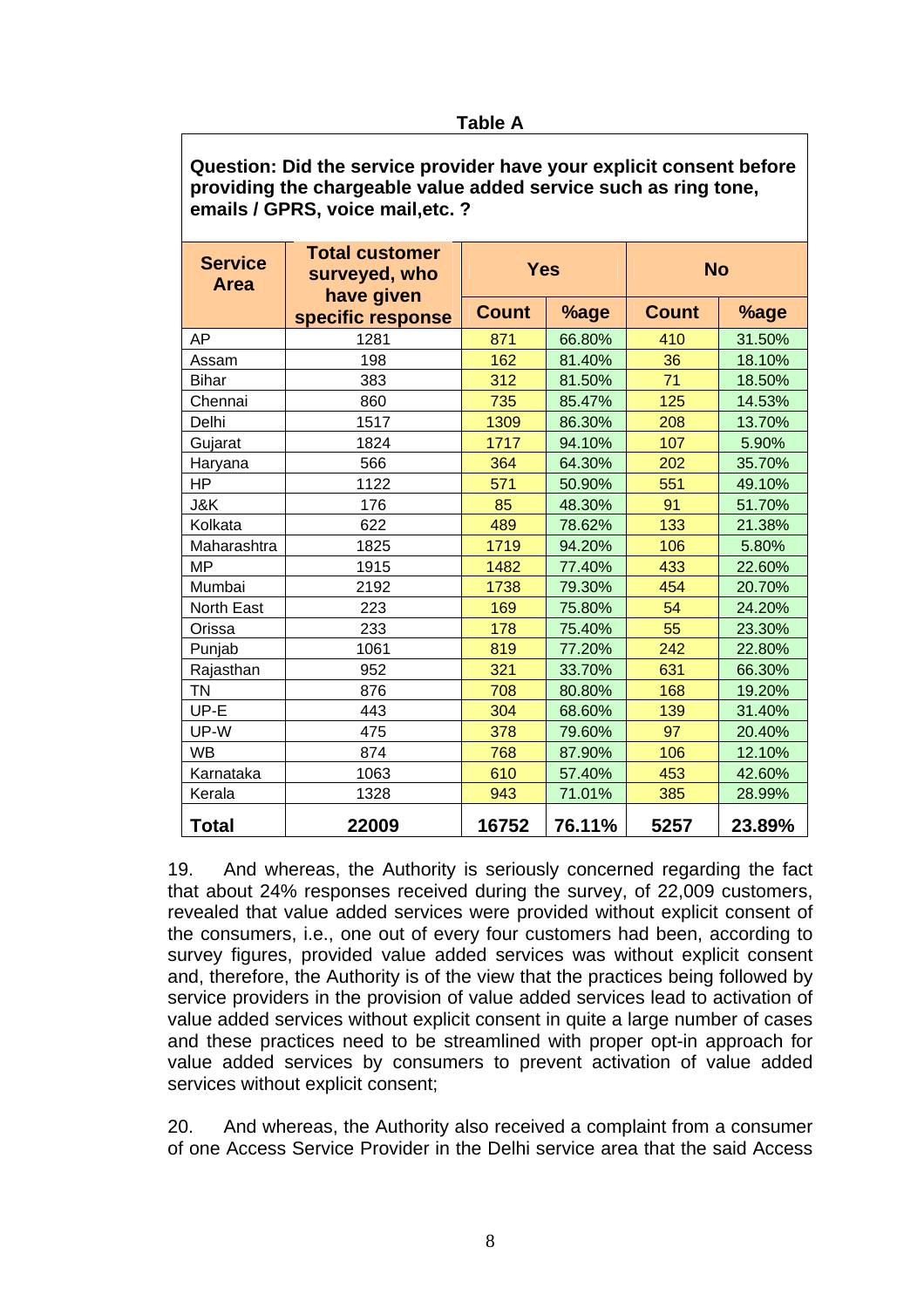## **Table A**

**Question: Did the service provider have your explicit consent before providing the chargeable value added service such as ring tone, emails / GPRS, voice mail,etc. ?** 

| <b>Service</b><br><b>Area</b> | <b>Total customer</b><br>surveyed, who<br>have given | <b>Yes</b>   |        | <b>No</b>    |        |
|-------------------------------|------------------------------------------------------|--------------|--------|--------------|--------|
|                               | specific response                                    | <b>Count</b> | %age   | <b>Count</b> | %age   |
| AP                            | 1281                                                 | 871          | 66.80% | 410          | 31.50% |
| Assam                         | 198                                                  | 162          | 81.40% | 36           | 18.10% |
| <b>Bihar</b>                  | 383                                                  | 312          | 81.50% | 71           | 18.50% |
| Chennai                       | 860                                                  | 735          | 85.47% | 125          | 14.53% |
| Delhi                         | 1517                                                 | 1309         | 86.30% | 208          | 13.70% |
| Gujarat                       | 1824                                                 | 1717         | 94.10% | 107          | 5.90%  |
| Haryana                       | 566                                                  | 364          | 64.30% | 202          | 35.70% |
| HP                            | 1122                                                 | 571          | 50.90% | 551          | 49.10% |
| J&K                           | 176                                                  | 85           | 48.30% | 91           | 51.70% |
| Kolkata                       | 622                                                  | 489          | 78.62% | 133          | 21.38% |
| Maharashtra                   | 1825                                                 | 1719         | 94.20% | 106          | 5.80%  |
| ΜP                            | 1915                                                 | 1482         | 77.40% | 433          | 22.60% |
| Mumbai                        | 2192                                                 | 1738         | 79.30% | 454          | 20.70% |
| North East                    | 223                                                  | 169          | 75.80% | 54           | 24.20% |
| Orissa                        | 233                                                  | 178          | 75.40% | 55           | 23.30% |
| Punjab                        | 1061                                                 | 819          | 77.20% | 242          | 22.80% |
| Rajasthan                     | 952                                                  | 321          | 33.70% | 631          | 66.30% |
| ΤN                            | 876                                                  | 708          | 80.80% | 168          | 19.20% |
| UP-E                          | 443                                                  | 304          | 68.60% | 139          | 31.40% |
| UP-W                          | 475                                                  | 378          | 79.60% | 97           | 20.40% |
| <b>WB</b>                     | 874                                                  | 768          | 87.90% | 106          | 12.10% |
| Karnataka                     | 1063                                                 | 610          | 57.40% | 453          | 42.60% |
| Kerala                        | 1328                                                 | 943          | 71.01% | 385          | 28.99% |
| Total                         | 22009                                                | 16752        | 76.11% | 5257         | 23.89% |

19. And whereas, the Authority is seriously concerned regarding the fact that about 24% responses received during the survey, of 22,009 customers, revealed that value added services were provided without explicit consent of the consumers, i.e., one out of every four customers had been, according to survey figures, provided value added services was without explicit consent and, therefore, the Authority is of the view that the practices being followed by service providers in the provision of value added services lead to activation of value added services without explicit consent in quite a large number of cases and these practices need to be streamlined with proper opt-in approach for value added services by consumers to prevent activation of value added services without explicit consent;

20. And whereas, the Authority also received a complaint from a consumer of one Access Service Provider in the Delhi service area that the said Access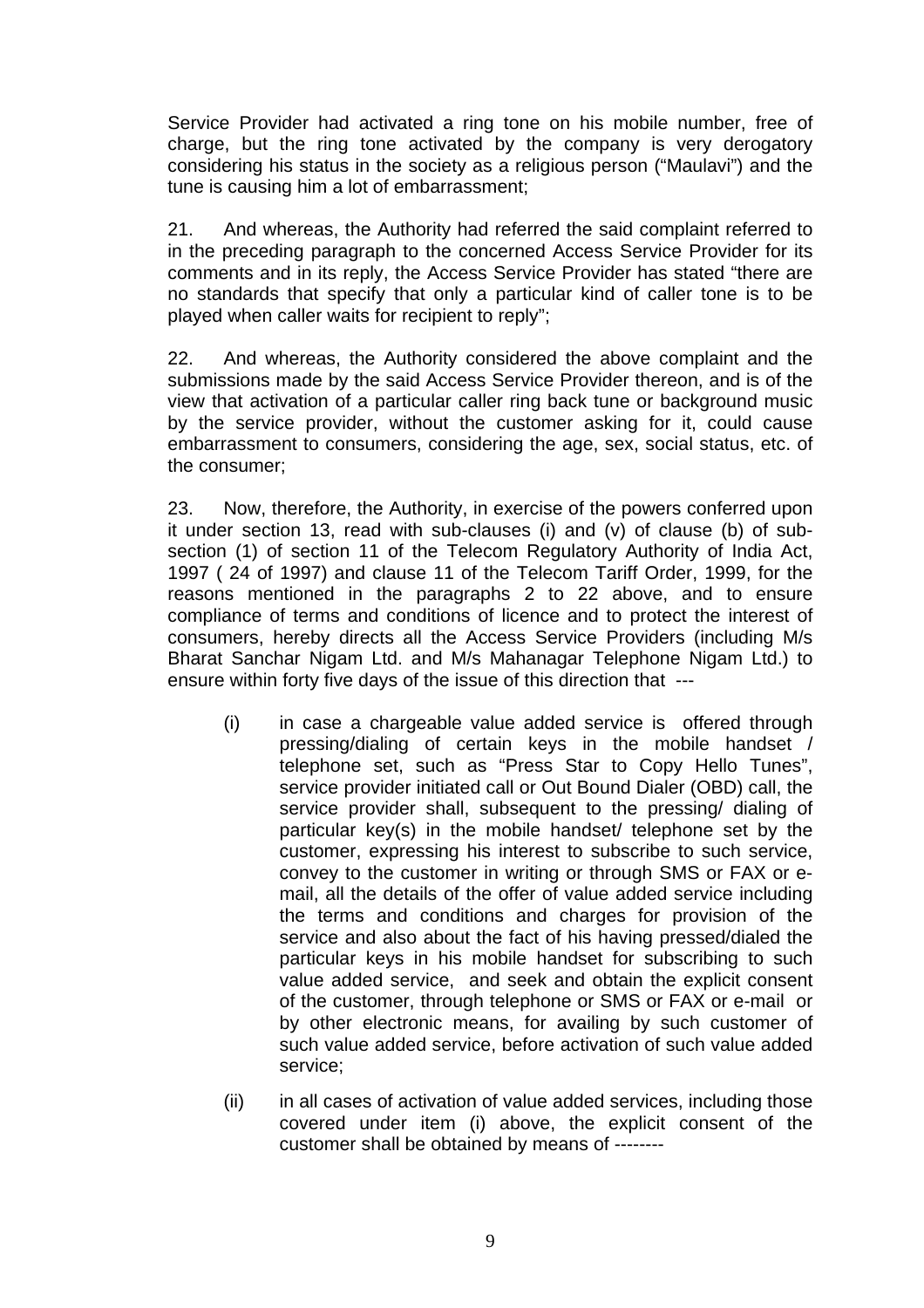Service Provider had activated a ring tone on his mobile number, free of charge, but the ring tone activated by the company is very derogatory considering his status in the society as a religious person ("Maulavi") and the tune is causing him a lot of embarrassment;

21. And whereas, the Authority had referred the said complaint referred to in the preceding paragraph to the concerned Access Service Provider for its comments and in its reply, the Access Service Provider has stated "there are no standards that specify that only a particular kind of caller tone is to be played when caller waits for recipient to reply";

22. And whereas, the Authority considered the above complaint and the submissions made by the said Access Service Provider thereon, and is of the view that activation of a particular caller ring back tune or background music by the service provider, without the customer asking for it, could cause embarrassment to consumers, considering the age, sex, social status, etc. of the consumer;

23. Now, therefore, the Authority, in exercise of the powers conferred upon it under section 13, read with sub-clauses (i) and (v) of clause (b) of subsection (1) of section 11 of the Telecom Regulatory Authority of India Act, 1997 ( 24 of 1997) and clause 11 of the Telecom Tariff Order, 1999, for the reasons mentioned in the paragraphs 2 to 22 above, and to ensure compliance of terms and conditions of licence and to protect the interest of consumers, hereby directs all the Access Service Providers (including M/s Bharat Sanchar Nigam Ltd. and M/s Mahanagar Telephone Nigam Ltd.) to ensure within forty five days of the issue of this direction that ---

- (i) in case a chargeable value added service is offered through pressing/dialing of certain keys in the mobile handset / telephone set, such as "Press Star to Copy Hello Tunes", service provider initiated call or Out Bound Dialer (OBD) call, the service provider shall, subsequent to the pressing/ dialing of particular key(s) in the mobile handset/ telephone set by the customer, expressing his interest to subscribe to such service, convey to the customer in writing or through SMS or FAX or email, all the details of the offer of value added service including the terms and conditions and charges for provision of the service and also about the fact of his having pressed/dialed the particular keys in his mobile handset for subscribing to such value added service, and seek and obtain the explicit consent of the customer, through telephone or SMS or FAX or e-mail or by other electronic means, for availing by such customer of such value added service, before activation of such value added service;
- (ii) in all cases of activation of value added services, including those covered under item (i) above, the explicit consent of the customer shall be obtained by means of --------